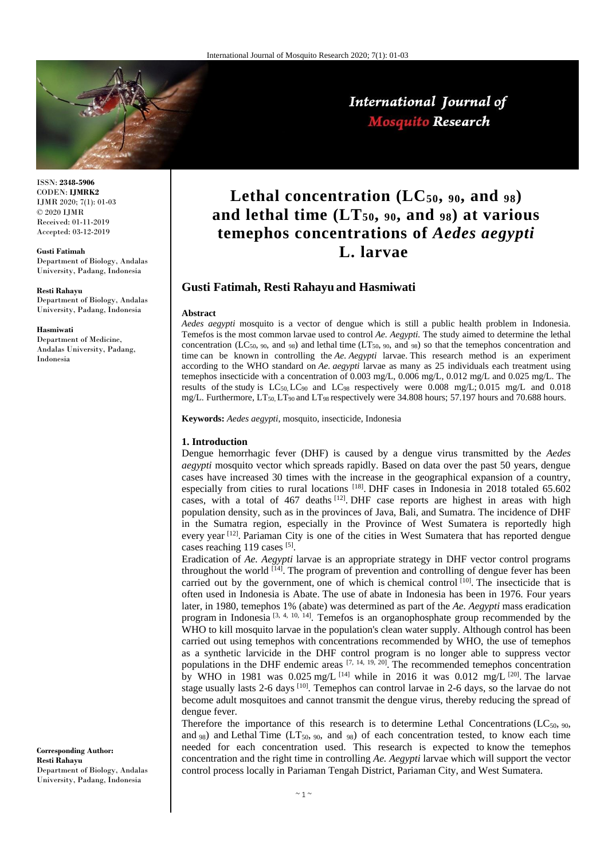

International Journal of **Mosquito Research** 

### ISSN: **2348-5906** CODEN: **IJMRK2** IJMR 2020; 7(1): 01-03 © 2020 IJMR Received: 01-11-2019 Accepted: 03-12-2019

### **Gusti Fatimah**

Department of Biology, Andalas University, Padang, Indonesia

**Resti Rahayu** Department of Biology, Andalas University, Padang, Indonesia

#### **Hasmiwati**

Department of Medicine, Andalas University, Padang, Indonesia

#### **Corresponding Author: Resti Rahayu** Department of Biology, Andalas University, Padang, Indonesia

Lethal concentration  $(LC_{50}, 90, 90)$ **and lethal time (LT50, <sup>90</sup>, and <sup>98</sup>) at various temephos concentrations of** *Aedes aegypti* **L. larvae**

# **Gusti Fatimah, Resti Rahayu and Hasmiwati**

### **Abstract**

*Aedes aegypti* mosquito is a vector of dengue which is still a public health problem in Indonesia. Temefos is the most common larvae used to control *Ae. Aegypti.* The study aimed to determine the lethal concentration (LC<sub>50</sub>, 90, and 98) and lethal time (LT<sub>50</sub>, 90, and 98) so that the temephos concentration and time can be known in controlling the *Ae. Aegypti* larvae. This research method is an experiment according to the WHO standard on *Ae. aegypti* larvae as many as 25 individuals each treatment using temephos insecticide with a concentration of 0.003 mg/L, 0.006 mg/L, 0.012 mg/L and 0.025 mg/L. The results of the study is  $LC_{50}$ ,  $LC_{90}$  and  $LC_{98}$  respectively were 0.008 mg/L; 0.015 mg/L and 0.018 mg/L. Furthermore, LT<sub>50</sub>, LT<sub>90</sub> and LT<sub>98</sub> respectively were 34.808 hours; 57.197 hours and 70.688 hours.

**Keywords:** *Aedes aegypti*, mosquito, insecticide, Indonesia

# **1. Introduction**

Dengue hemorrhagic fever (DHF) is caused by a dengue virus transmitted by the *Aedes aegypti* mosquito vector which spreads rapidly. Based on data over the past 50 years, dengue cases have increased 30 times with the increase in the geographical expansion of a country, especially from cities to rural locations [18]. DHF cases in Indonesia in 2018 totaled 65.602 cases, with a total of  $467$  deaths  $[12]$ . DHF case reports are highest in areas with high population density, such as in the provinces of Java, Bali, and Sumatra. The incidence of DHF in the Sumatra region, especially in the Province of West Sumatera is reportedly high every year <sup>[12]</sup>. Pariaman City is one of the cities in West Sumatera that has reported dengue cases reaching 119 cases [5].

Eradication of *Ae. Aegypti* larvae is an appropriate strategy in DHF vector control programs throughout the world  $^{[14]}$ . The program of prevention and controlling of dengue fever has been carried out by the government, one of which is chemical control  $[10]$ . The insecticide that is often used in Indonesia is Abate. The use of abate in Indonesia has been in 1976. Four years later, in 1980, temephos 1% (abate) was determined as part of the *Ae. Aegypti* mass eradication program in Indonesia<sup>[3, 4, 10, 14]</sup>. Temefos is an organophosphate group recommended by the WHO to kill mosquito larvae in the population's clean water supply. Although control has been carried out using temephos with concentrations recommended by WHO, the use of temephos as a synthetic larvicide in the DHF control program is no longer able to suppress vector populations in the DHF endemic areas  $[7, 14, 19, 20]$ . The recommended temephos concentration by WHO in 1981 was  $0.025$  mg/L<sup>[14]</sup> while in 2016 it was  $0.012$  mg/L<sup>[20]</sup>. The larvae stage usually lasts 2-6 days <sup>[10]</sup>. Temephos can control larvae in 2-6 days, so the larvae do not become adult mosquitoes and cannot transmit the dengue virus, thereby reducing the spread of dengue fever.

Therefore the importance of this research is to determine Lethal Concentrations ( $LC_{50}$ ,  $_{90}$ , and <sub>98</sub>) and Lethal Time (LT<sub>50</sub>,  $_{90}$ , and  $_{98}$ ) of each concentration tested, to know each time needed for each concentration used. This research is expected to know the temephos concentration and the right time in controlling *Ae. Aegypti* larvae which will support the vector control process locally in Pariaman Tengah District, Pariaman City, and West Sumatera.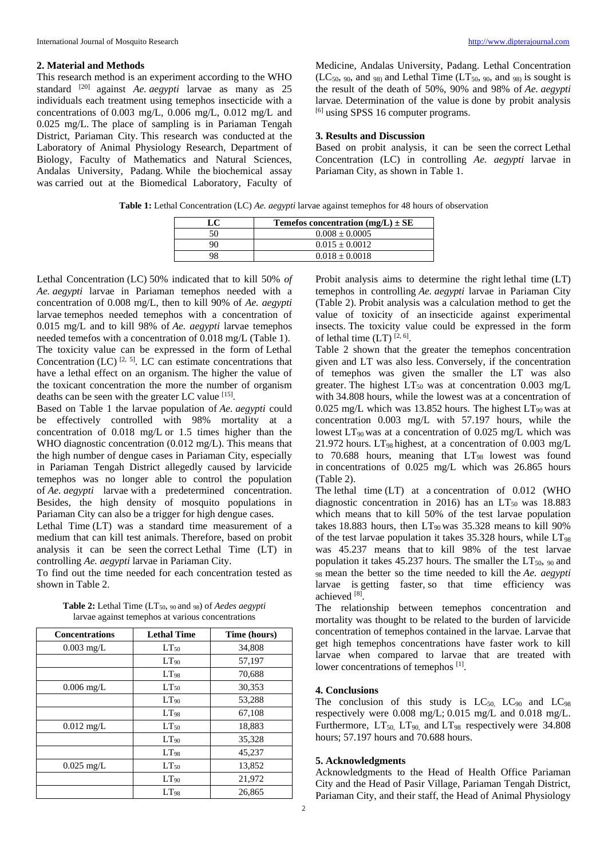## **2. Material and Methods**

This research method is an experiment according to the WHO standard [20] against *Ae. aegypti* larvae as many as 25 individuals each treatment using temephos insecticide with a concentrations of 0.003 mg/L, 0.006 mg/L, 0.012 mg/L and 0.025 mg/L. The place of sampling is in Pariaman Tengah District, Pariaman City. This research was conducted at the Laboratory of Animal Physiology Research, Department of Biology, Faculty of Mathematics and Natural Sciences, Andalas University, Padang. While the biochemical assay was carried out at the Biomedical Laboratory, Faculty of

Medicine, Andalas University, Padang. Lethal Concentration  $(LC_{50}, 90, \text{ and } 98)$  and Lethal Time  $(LT_{50}, 90, \text{ and } 98)$  is sought is the result of the death of 50%, 90% and 98% of *Ae. aegypti* larvae*.* Determination of the value is done by probit analysis [6] using SPSS 16 computer programs.

## **3. Results and Discussion**

Based on probit analysis, it can be seen the correct Lethal Concentration (LC) in controlling *Ae. aegypti* larvae in Pariaman City, as shown in Table 1.

**Table 1:** Lethal Concentration (LC) *Ae. aegypti* larvae against temephos for 48 hours of observation

| LC | Temefos concentration $(mg/L) \pm SE$ |  |
|----|---------------------------------------|--|
| 50 | $0.008 \pm 0.0005$                    |  |
|    | $0.015 \pm 0.0012$                    |  |
|    | $0.018 \pm 0.0018$                    |  |

Lethal Concentration (LC) 50% indicated that to kill 50% *of Ae. aegypti* larvae in Pariaman temephos needed with a concentration of 0.008 mg/L, then to kill 90% of *Ae. aegypti* larvae temephos needed temephos with a concentration of 0.015 mg/L and to kill 98% of *Ae. aegypti* larvae temephos needed temefos with a concentration of 0.018 mg/L (Table 1). The toxicity value can be expressed in the form of Lethal Concentration  $(LC)^{[2, 5]}$ . LC can estimate concentrations that have a lethal effect on an organism. The higher the value of the toxicant concentration the more the number of organism deaths can be seen with the greater LC value [15].

Based on Table 1 the larvae population of *Ae. aegypti* could be effectively controlled with 98% mortality at a concentration of 0.018 mg/L or 1.5 times higher than the WHO diagnostic concentration (0.012 mg/L). This means that the high number of dengue cases in Pariaman City, especially in Pariaman Tengah District allegedly caused by larvicide temephos was no longer able to control the population of *Ae. aegypti* larvae with a predetermined concentration. Besides, the high density of mosquito populations in Pariaman City can also be a trigger for high dengue cases.

Lethal Time (LT) was a standard time measurement of a medium that can kill test animals. Therefore, based on probit analysis it can be seen the correct Lethal Time (LT) in controlling *Ae. aegypti* larvae in Pariaman City.

To find out the time needed for each concentration tested as shown in Table 2.

| <b>Concentrations</b> | <b>Lethal Time</b> | Time (hours) |
|-----------------------|--------------------|--------------|
| $0.003$ mg/L          | $LT_{50}$          | 34,808       |
|                       | $LT_{90}$          | 57,197       |
|                       | $LT_{98}$          | 70,688       |
| $0.006$ mg/L          | $LT_{50}$          | 30,353       |
|                       | $LT_{90}$          | 53,288       |
|                       | $LT_{98}$          | 67,108       |
| $0.012$ mg/L          | $LT_{50}$          | 18,883       |
|                       | LT <sub>90</sub>   | 35,328       |
|                       | $LT_{98}$          | 45,237       |
| $0.025$ mg/L          | $LT_{50}$          | 13,852       |
|                       | $LT_{90}$          | 21,972       |
|                       | LT <sub>98</sub>   | 26.865       |

**Table 2:** Lethal Time (LT50, <sup>90</sup> and <sup>98</sup>) of *Aedes aegypti* larvae against temephos at various concentrations

Probit analysis aims to determine the right lethal time (LT) temephos in controlling *Ae. aegypti* larvae in Pariaman City (Table 2). Probit analysis was a calculation method to get the value of toxicity of an insecticide against experimental insects. The toxicity value could be expressed in the form of lethal time  $(LT)$ <sup>[2, 6]</sup>.

Table 2 shown that the greater the temephos concentration given and LT was also less. Conversely, if the concentration of temephos was given the smaller the LT was also greater. The highest  $LT_{50}$  was at concentration 0.003 mg/L with 34.808 hours, while the lowest was at a concentration of 0.025 mg/L which was 13.852 hours. The highest  $LT_{90}$  was at concentration 0.003 mg/L with 57.197 hours, while the lowest  $LT_{90}$  was at a concentration of 0.025 mg/L which was 21.972 hours.  $LT_{98}$  highest, at a concentration of 0.003 mg/L to 70.688 hours, meaning that  $LT_{98}$  lowest was found in concentrations of 0.025 mg/L which was 26.865 hours (Table 2).

The lethal time (LT) at a concentration of 0.012 (WHO diagnostic concentration in 2016) has an  $LT_{50}$  was 18.883 which means that to kill 50% of the test larvae population takes 18.883 hours, then  $LT_{90}$  was 35.328 means to kill 90% of the test larvae population it takes  $35.328$  hours, while  $LT_{98}$ was 45.237 means that to kill 98% of the test larvae population it takes 45.237 hours. The smaller the  $LT_{50}$ ,  $_{90}$  and <sup>98</sup> mean the better so the time needed to kill the *Ae. aegypti* larvae is getting faster, so that time efficiency was achieved [8].

The relationship between temephos concentration and mortality was thought to be related to the burden of larvicide concentration of temephos contained in the larvae. Larvae that get high temephos concentrations have faster work to kill larvae when compared to larvae that are treated with lower concentrations of temephos [1].

# **4. Conclusions**

The conclusion of this study is  $LC_{50}$ ,  $LC_{90}$  and  $LC_{98}$ respectively were 0.008 mg/L; 0.015 mg/L and 0.018 mg/L. Furthermore,  $LT_{50}$ ,  $LT_{90}$ , and  $LT_{98}$  respectively were 34.808 hours; 57.197 hours and 70.688 hours.

### **5. Acknowledgments**

Acknowledgments to the Head of Health Office Pariaman City and the Head of Pasir Village, Pariaman Tengah District, Pariaman City, and their staff, the Head of Animal Physiology